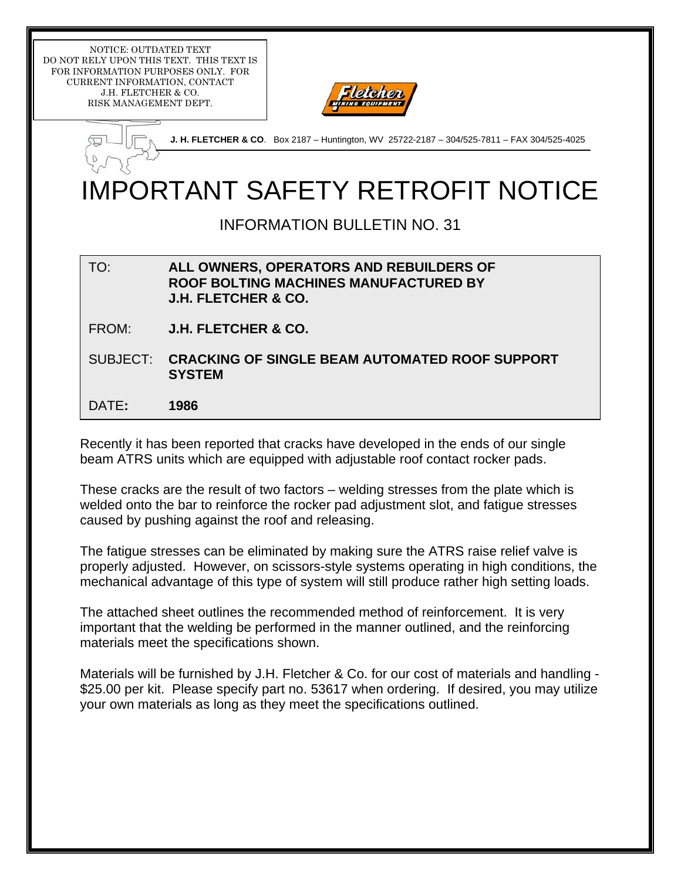NOTICE: OUTDATED TEXT DO NOT RELY UPON THIS TEXT. THIS TEXT IS FOR INFORMATION PURPOSES ONLY. FOR CURRENT INFORMATION, CONTACT J.H. FLETCHER & CO. RISK MANAGEMENT DEPT.



|      | <b>J. H. FLETCHER &amp; CO.</b> Box 2187 – Huntington, WV 25722-2187 – 304/525-7811 – FAX 304/525-4025 |  |  |  |
|------|--------------------------------------------------------------------------------------------------------|--|--|--|
| temp |                                                                                                        |  |  |  |
|      | <b>IMPORTANT SAFETY RETROFIT NOTICE</b>                                                                |  |  |  |

INFORMATION BULLETIN NO. 31

## TO: **ALL OWNERS, OPERATORS AND REBUILDERS OF ROOF BOLTING MACHINES MANUFACTURED BY J.H. FLETCHER & CO.**

FROM: **J.H. FLETCHER & CO.** 

SUBJECT: **CRACKING OF SINGLE BEAM AUTOMATED ROOF SUPPORT SYSTEM** 

DATE**: 1986** 

Recently it has been reported that cracks have developed in the ends of our single beam ATRS units which are equipped with adjustable roof contact rocker pads.

These cracks are the result of two factors – welding stresses from the plate which is welded onto the bar to reinforce the rocker pad adjustment slot, and fatigue stresses caused by pushing against the roof and releasing.

The fatigue stresses can be eliminated by making sure the ATRS raise relief valve is properly adjusted. However, on scissors-style systems operating in high conditions, the mechanical advantage of this type of system will still produce rather high setting loads.

The attached sheet outlines the recommended method of reinforcement. It is very important that the welding be performed in the manner outlined, and the reinforcing materials meet the specifications shown.

Materials will be furnished by J.H. Fletcher & Co. for our cost of materials and handling - \$25.00 per kit. Please specify part no. 53617 when ordering. If desired, you may utilize your own materials as long as they meet the specifications outlined.